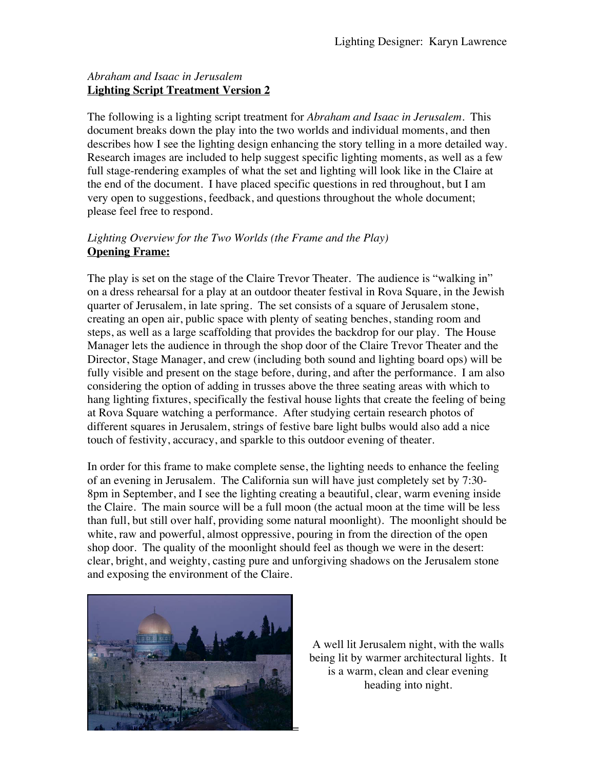# *Abraham and Isaac in Jerusalem* **Lighting Script Treatment Version 2**

The following is a lighting script treatment for *Abraham and Isaac in Jerusalem*. This document breaks down the play into the two worlds and individual moments, and then describes how I see the lighting design enhancing the story telling in a more detailed way. Research images are included to help suggest specific lighting moments, as well as a few full stage-rendering examples of what the set and lighting will look like in the Claire at the end of the document. I have placed specific questions in red throughout, but I am very open to suggestions, feedback, and questions throughout the whole document; please feel free to respond.

## *Lighting Overview for the Two Worlds (the Frame and the Play)* **Opening Frame:**

The play is set on the stage of the Claire Trevor Theater. The audience is "walking in" on a dress rehearsal for a play at an outdoor theater festival in Rova Square, in the Jewish quarter of Jerusalem, in late spring. The set consists of a square of Jerusalem stone, creating an open air, public space with plenty of seating benches, standing room and steps, as well as a large scaffolding that provides the backdrop for our play. The House Manager lets the audience in through the shop door of the Claire Trevor Theater and the Director, Stage Manager, and crew (including both sound and lighting board ops) will be fully visible and present on the stage before, during, and after the performance. I am also considering the option of adding in trusses above the three seating areas with which to hang lighting fixtures, specifically the festival house lights that create the feeling of being at Rova Square watching a performance. After studying certain research photos of different squares in Jerusalem, strings of festive bare light bulbs would also add a nice touch of festivity, accuracy, and sparkle to this outdoor evening of theater.

In order for this frame to make complete sense, the lighting needs to enhance the feeling of an evening in Jerusalem. The California sun will have just completely set by 7:30- 8pm in September, and I see the lighting creating a beautiful, clear, warm evening inside the Claire. The main source will be a full moon (the actual moon at the time will be less than full, but still over half, providing some natural moonlight). The moonlight should be white, raw and powerful, almost oppressive, pouring in from the direction of the open shop door. The quality of the moonlight should feel as though we were in the desert: clear, bright, and weighty, casting pure and unforgiving shadows on the Jerusalem stone and exposing the environment of the Claire.



A well lit Jerusalem night, with the walls being lit by warmer architectural lights. It is a warm, clean and clear evening heading into night.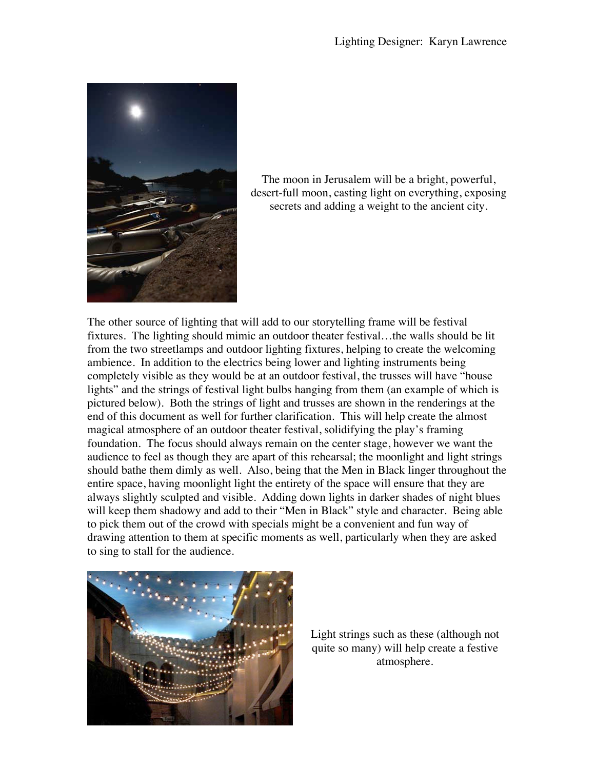

The moon in Jerusalem will be a bright, powerful, desert-full moon, casting light on everything, exposing secrets and adding a weight to the ancient city.

The other source of lighting that will add to our storytelling frame will be festival fixtures. The lighting should mimic an outdoor theater festival…the walls should be lit from the two streetlamps and outdoor lighting fixtures, helping to create the welcoming ambience. In addition to the electrics being lower and lighting instruments being completely visible as they would be at an outdoor festival, the trusses will have "house lights" and the strings of festival light bulbs hanging from them (an example of which is pictured below). Both the strings of light and trusses are shown in the renderings at the end of this document as well for further clarification. This will help create the almost magical atmosphere of an outdoor theater festival, solidifying the play's framing foundation. The focus should always remain on the center stage, however we want the audience to feel as though they are apart of this rehearsal; the moonlight and light strings should bathe them dimly as well. Also, being that the Men in Black linger throughout the entire space, having moonlight light the entirety of the space will ensure that they are always slightly sculpted and visible. Adding down lights in darker shades of night blues will keep them shadowy and add to their "Men in Black" style and character. Being able to pick them out of the crowd with specials might be a convenient and fun way of drawing attention to them at specific moments as well, particularly when they are asked to sing to stall for the audience.



Light strings such as these (although not quite so many) will help create a festive atmosphere.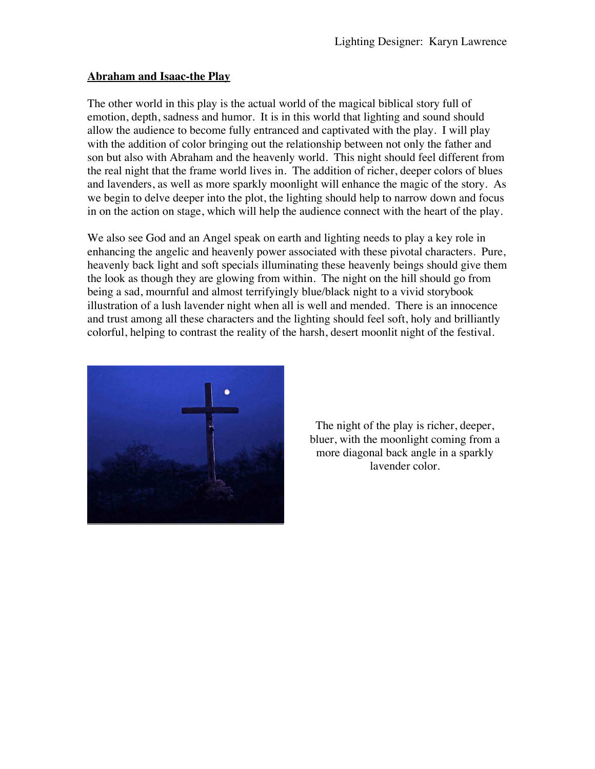### **Abraham and Isaac-the Play**

The other world in this play is the actual world of the magical biblical story full of emotion, depth, sadness and humor. It is in this world that lighting and sound should allow the audience to become fully entranced and captivated with the play. I will play with the addition of color bringing out the relationship between not only the father and son but also with Abraham and the heavenly world. This night should feel different from the real night that the frame world lives in. The addition of richer, deeper colors of blues and lavenders, as well as more sparkly moonlight will enhance the magic of the story. As we begin to delve deeper into the plot, the lighting should help to narrow down and focus in on the action on stage, which will help the audience connect with the heart of the play.

We also see God and an Angel speak on earth and lighting needs to play a key role in enhancing the angelic and heavenly power associated with these pivotal characters. Pure, heavenly back light and soft specials illuminating these heavenly beings should give them the look as though they are glowing from within. The night on the hill should go from being a sad, mournful and almost terrifyingly blue/black night to a vivid storybook illustration of a lush lavender night when all is well and mended. There is an innocence and trust among all these characters and the lighting should feel soft, holy and brilliantly colorful, helping to contrast the reality of the harsh, desert moonlit night of the festival.



The night of the play is richer, deeper, bluer, with the moonlight coming from a more diagonal back angle in a sparkly lavender color.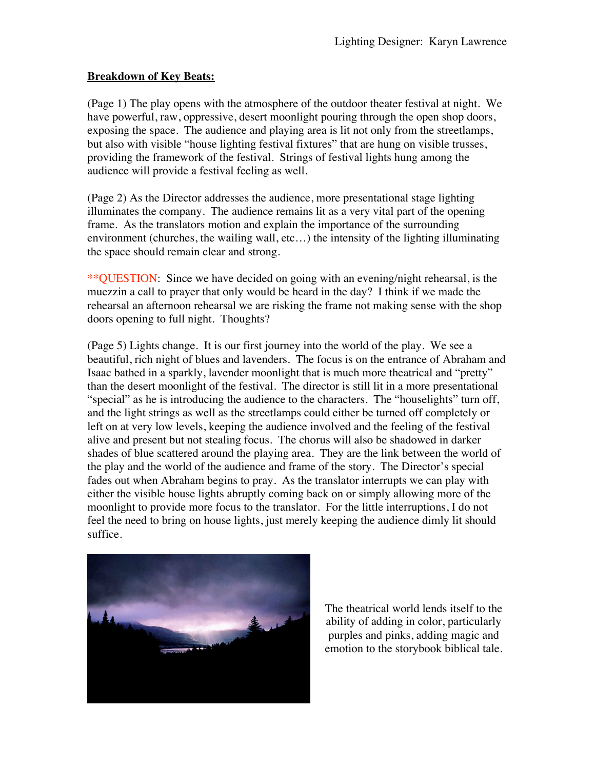#### **Breakdown of Key Beats:**

(Page 1) The play opens with the atmosphere of the outdoor theater festival at night. We have powerful, raw, oppressive, desert moonlight pouring through the open shop doors, exposing the space. The audience and playing area is lit not only from the streetlamps, but also with visible "house lighting festival fixtures" that are hung on visible trusses, providing the framework of the festival. Strings of festival lights hung among the audience will provide a festival feeling as well.

(Page 2) As the Director addresses the audience, more presentational stage lighting illuminates the company. The audience remains lit as a very vital part of the opening frame. As the translators motion and explain the importance of the surrounding environment (churches, the wailing wall, etc...) the intensity of the lighting illuminating the space should remain clear and strong.

\*\*QUESTION: Since we have decided on going with an evening/night rehearsal, is the muezzin a call to prayer that only would be heard in the day? I think if we made the rehearsal an afternoon rehearsal we are risking the frame not making sense with the shop doors opening to full night. Thoughts?

(Page 5) Lights change. It is our first journey into the world of the play. We see a beautiful, rich night of blues and lavenders. The focus is on the entrance of Abraham and Isaac bathed in a sparkly, lavender moonlight that is much more theatrical and "pretty" than the desert moonlight of the festival. The director is still lit in a more presentational "special" as he is introducing the audience to the characters. The "houselights" turn off, and the light strings as well as the streetlamps could either be turned off completely or left on at very low levels, keeping the audience involved and the feeling of the festival alive and present but not stealing focus. The chorus will also be shadowed in darker shades of blue scattered around the playing area. They are the link between the world of the play and the world of the audience and frame of the story. The Director's special fades out when Abraham begins to pray. As the translator interrupts we can play with either the visible house lights abruptly coming back on or simply allowing more of the moonlight to provide more focus to the translator. For the little interruptions, I do not feel the need to bring on house lights, just merely keeping the audience dimly lit should suffice.



The theatrical world lends itself to the ability of adding in color, particularly purples and pinks, adding magic and emotion to the storybook biblical tale.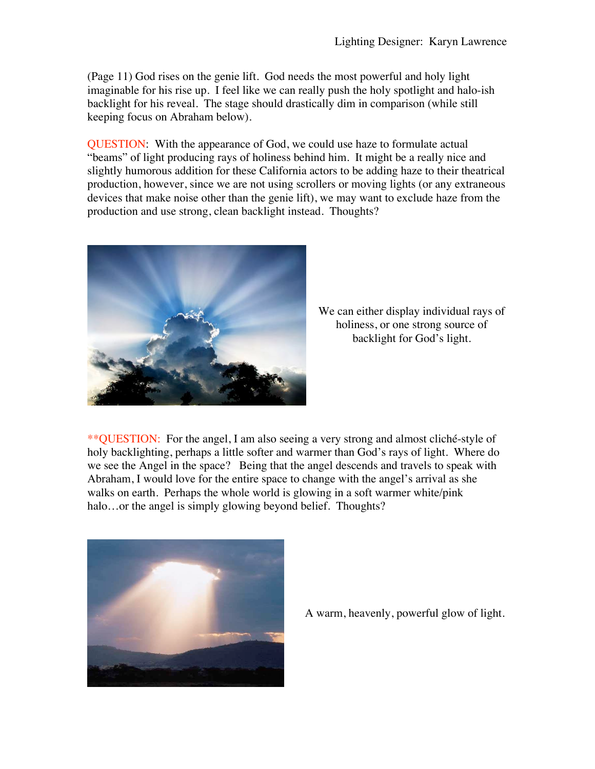(Page 11) God rises on the genie lift. God needs the most powerful and holy light imaginable for his rise up. I feel like we can really push the holy spotlight and halo-ish backlight for his reveal. The stage should drastically dim in comparison (while still keeping focus on Abraham below).

QUESTION: With the appearance of God, we could use haze to formulate actual "beams" of light producing rays of holiness behind him. It might be a really nice and slightly humorous addition for these California actors to be adding haze to their theatrical production, however, since we are not using scrollers or moving lights (or any extraneous devices that make noise other than the genie lift), we may want to exclude haze from the production and use strong, clean backlight instead. Thoughts?



We can either display individual rays of holiness, or one strong source of backlight for God's light.

\*\*QUESTION: For the angel, I am also seeing a very strong and almost cliché-style of holy backlighting, perhaps a little softer and warmer than God's rays of light. Where do we see the Angel in the space? Being that the angel descends and travels to speak with Abraham, I would love for the entire space to change with the angel's arrival as she walks on earth. Perhaps the whole world is glowing in a soft warmer white/pink halo...or the angel is simply glowing beyond belief. Thoughts?



A warm, heavenly, powerful glow of light.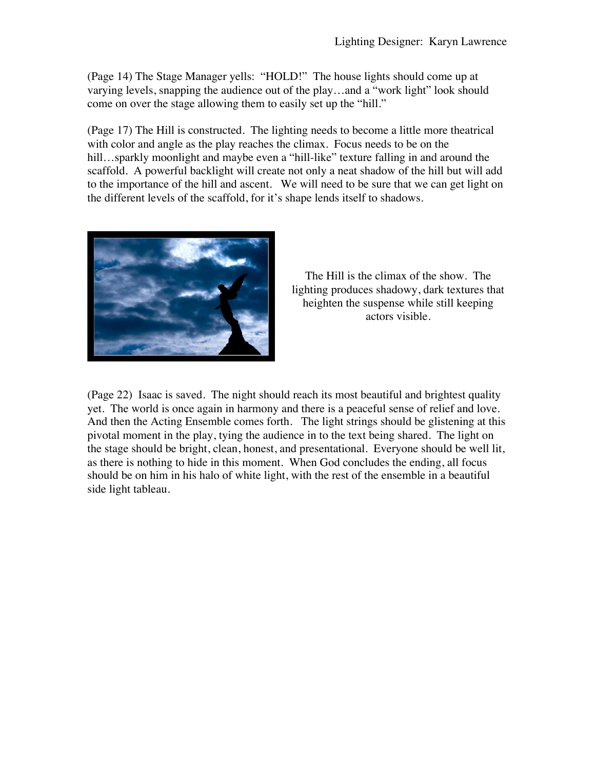(Page 14) The Stage Manager yells: "HOLD!" The house lights should come up at varying levels, snapping the audience out of the play…and a "work light" look should come on over the stage allowing them to easily set up the "hill."

(Page 17) The Hill is constructed. The lighting needs to become a little more theatrical with color and angle as the play reaches the climax. Focus needs to be on the hill...sparkly moonlight and maybe even a "hill-like" texture falling in and around the scaffold. A powerful backlight will create not only a neat shadow of the hill but will add to the importance of the hill and ascent. We will need to be sure that we can get light on the different levels of the scaffold, for it's shape lends itself to shadows.





(Page 22) Isaac is saved. The night should reach its most beautiful and brightest quality yet. The world is once again in harmony and there is a peaceful sense of relief and love. And then the Acting Ensemble comes forth. The light strings should be glistening at this pivotal moment in the play, tying the audience in to the text being shared. The light on the stage should be bright, clean, honest, and presentational. Everyone should be well lit, as there is nothing to hide in this moment. When God concludes the ending, all focus should be on him in his halo of white light, with the rest of the ensemble in a beautiful side light tableau.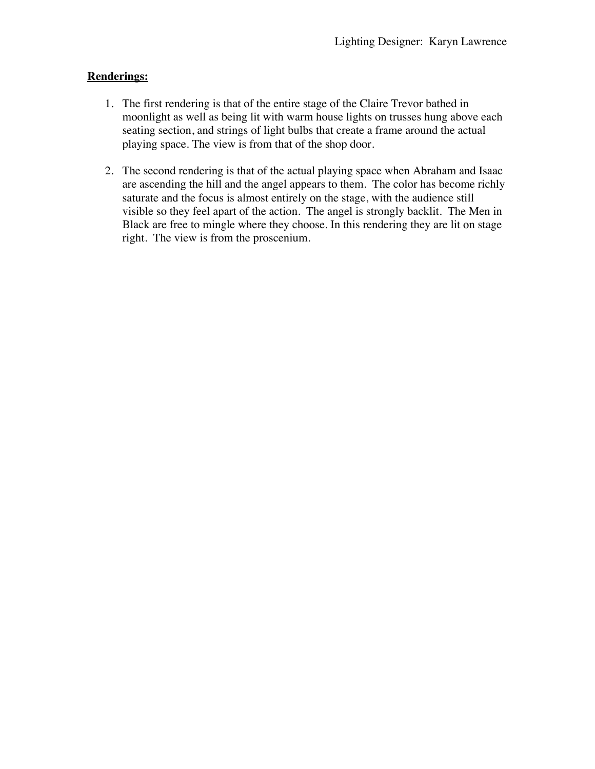#### **Renderings:**

- 1. The first rendering is that of the entire stage of the Claire Trevor bathed in moonlight as well as being lit with warm house lights on trusses hung above each seating section, and strings of light bulbs that create a frame around the actual playing space. The view is from that of the shop door.
- 2. The second rendering is that of the actual playing space when Abraham and Isaac are ascending the hill and the angel appears to them. The color has become richly saturate and the focus is almost entirely on the stage, with the audience still visible so they feel apart of the action. The angel is strongly backlit. The Men in Black are free to mingle where they choose. In this rendering they are lit on stage right. The view is from the proscenium.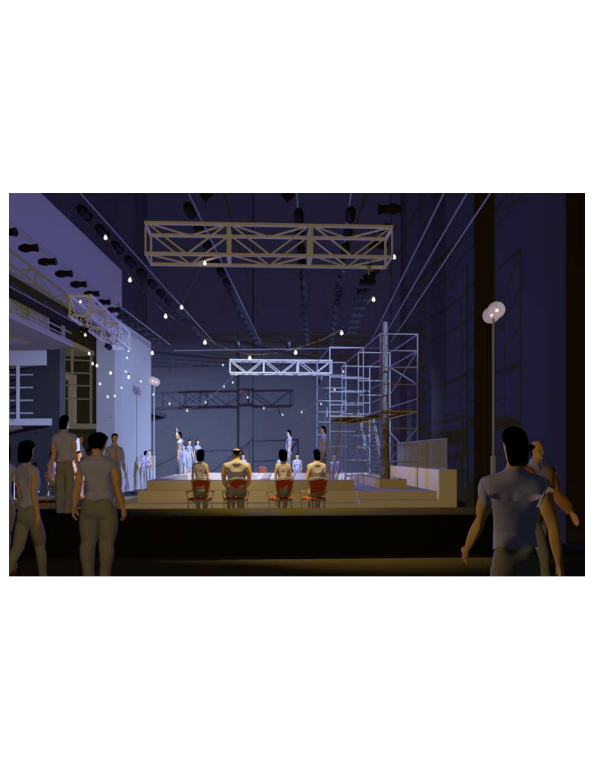